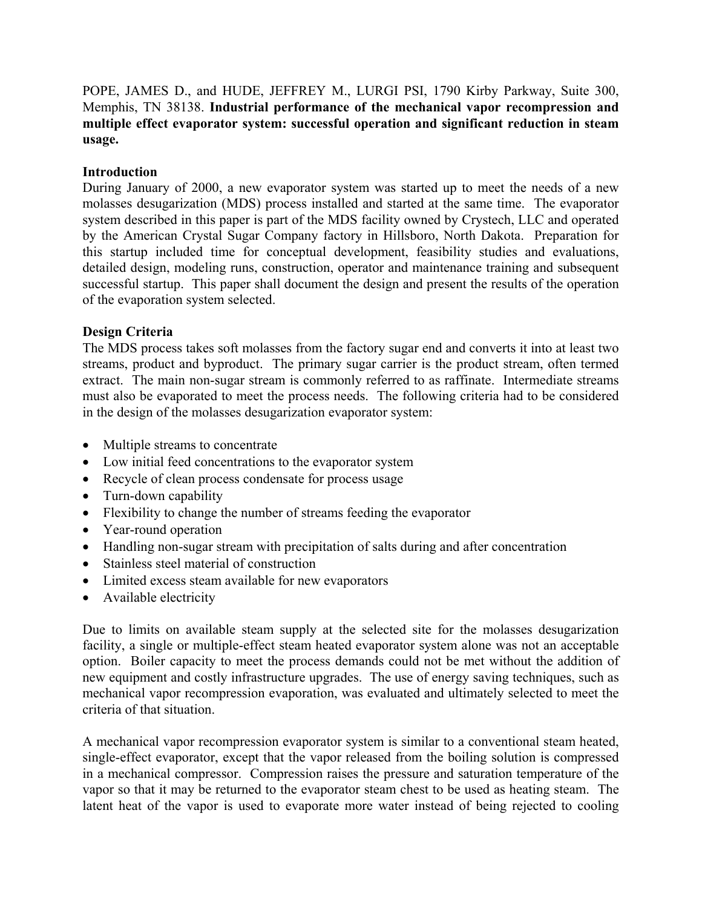POPE, JAMES D., and HUDE, JEFFREY M., LURGI PSI, 1790 Kirby Parkway, Suite 300, Memphis, TN 38138. **Industrial performance of the mechanical vapor recompression and multiple effect evaporator system: successful operation and significant reduction in steam usage.** 

#### **Introduction**

During January of 2000, a new evaporator system was started up to meet the needs of a new molasses desugarization (MDS) process installed and started at the same time. The evaporator system described in this paper is part of the MDS facility owned by Crystech, LLC and operated by the American Crystal Sugar Company factory in Hillsboro, North Dakota. Preparation for this startup included time for conceptual development, feasibility studies and evaluations, detailed design, modeling runs, construction, operator and maintenance training and subsequent successful startup. This paper shall document the design and present the results of the operation of the evaporation system selected.

#### **Design Criteria**

The MDS process takes soft molasses from the factory sugar end and converts it into at least two streams, product and byproduct. The primary sugar carrier is the product stream, often termed extract. The main non-sugar stream is commonly referred to as raffinate. Intermediate streams must also be evaporated to meet the process needs. The following criteria had to be considered in the design of the molasses desugarization evaporator system:

- Multiple streams to concentrate
- Low initial feed concentrations to the evaporator system
- Recycle of clean process condensate for process usage
- Turn-down capability
- Flexibility to change the number of streams feeding the evaporator
- Year-round operation
- Handling non-sugar stream with precipitation of salts during and after concentration
- Stainless steel material of construction
- Limited excess steam available for new evaporators
- Available electricity

Due to limits on available steam supply at the selected site for the molasses desugarization facility, a single or multiple-effect steam heated evaporator system alone was not an acceptable option. Boiler capacity to meet the process demands could not be met without the addition of new equipment and costly infrastructure upgrades. The use of energy saving techniques, such as mechanical vapor recompression evaporation, was evaluated and ultimately selected to meet the criteria of that situation.

A mechanical vapor recompression evaporator system is similar to a conventional steam heated, single-effect evaporator, except that the vapor released from the boiling solution is compressed in a mechanical compressor. Compression raises the pressure and saturation temperature of the vapor so that it may be returned to the evaporator steam chest to be used as heating steam. The latent heat of the vapor is used to evaporate more water instead of being rejected to cooling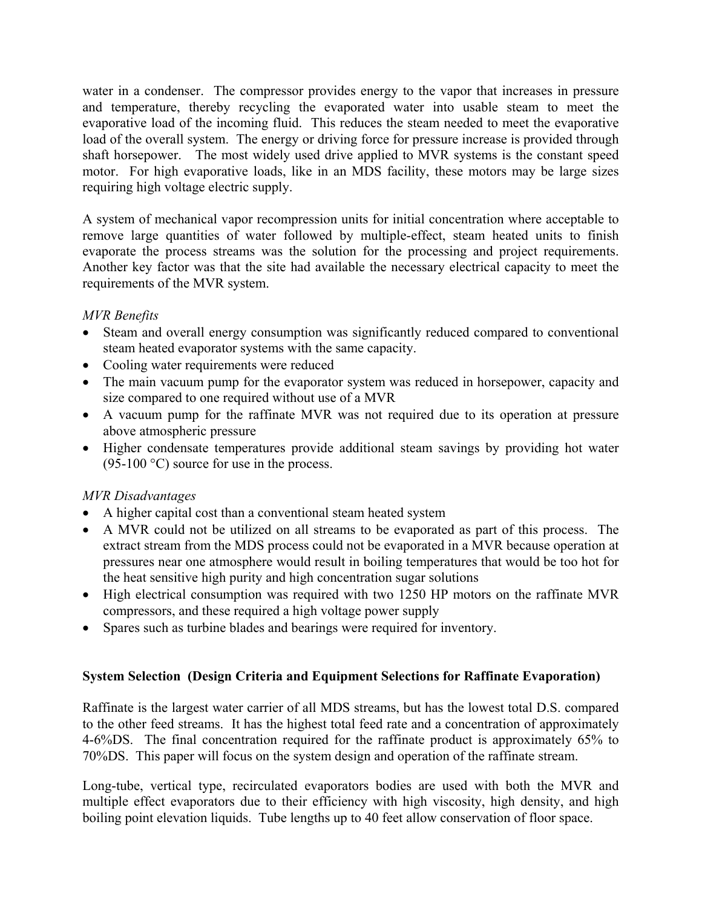water in a condenser. The compressor provides energy to the vapor that increases in pressure and temperature, thereby recycling the evaporated water into usable steam to meet the evaporative load of the incoming fluid. This reduces the steam needed to meet the evaporative load of the overall system. The energy or driving force for pressure increase is provided through shaft horsepower. The most widely used drive applied to MVR systems is the constant speed motor. For high evaporative loads, like in an MDS facility, these motors may be large sizes requiring high voltage electric supply.

A system of mechanical vapor recompression units for initial concentration where acceptable to remove large quantities of water followed by multiple-effect, steam heated units to finish evaporate the process streams was the solution for the processing and project requirements. Another key factor was that the site had available the necessary electrical capacity to meet the requirements of the MVR system.

## *MVR Benefits*

- Steam and overall energy consumption was significantly reduced compared to conventional steam heated evaporator systems with the same capacity.
- Cooling water requirements were reduced
- The main vacuum pump for the evaporator system was reduced in horsepower, capacity and size compared to one required without use of a MVR
- A vacuum pump for the raffinate MVR was not required due to its operation at pressure above atmospheric pressure
- Higher condensate temperatures provide additional steam savings by providing hot water  $(95-100 \degree C)$  source for use in the process.

# *MVR Disadvantages*

- A higher capital cost than a conventional steam heated system
- A MVR could not be utilized on all streams to be evaporated as part of this process. The extract stream from the MDS process could not be evaporated in a MVR because operation at pressures near one atmosphere would result in boiling temperatures that would be too hot for the heat sensitive high purity and high concentration sugar solutions
- High electrical consumption was required with two 1250 HP motors on the raffinate MVR compressors, and these required a high voltage power supply
- Spares such as turbine blades and bearings were required for inventory.

# **System Selection (Design Criteria and Equipment Selections for Raffinate Evaporation)**

Raffinate is the largest water carrier of all MDS streams, but has the lowest total D.S. compared to the other feed streams. It has the highest total feed rate and a concentration of approximately 4-6%DS. The final concentration required for the raffinate product is approximately 65% to 70%DS. This paper will focus on the system design and operation of the raffinate stream.

Long-tube, vertical type, recirculated evaporators bodies are used with both the MVR and multiple effect evaporators due to their efficiency with high viscosity, high density, and high boiling point elevation liquids. Tube lengths up to 40 feet allow conservation of floor space.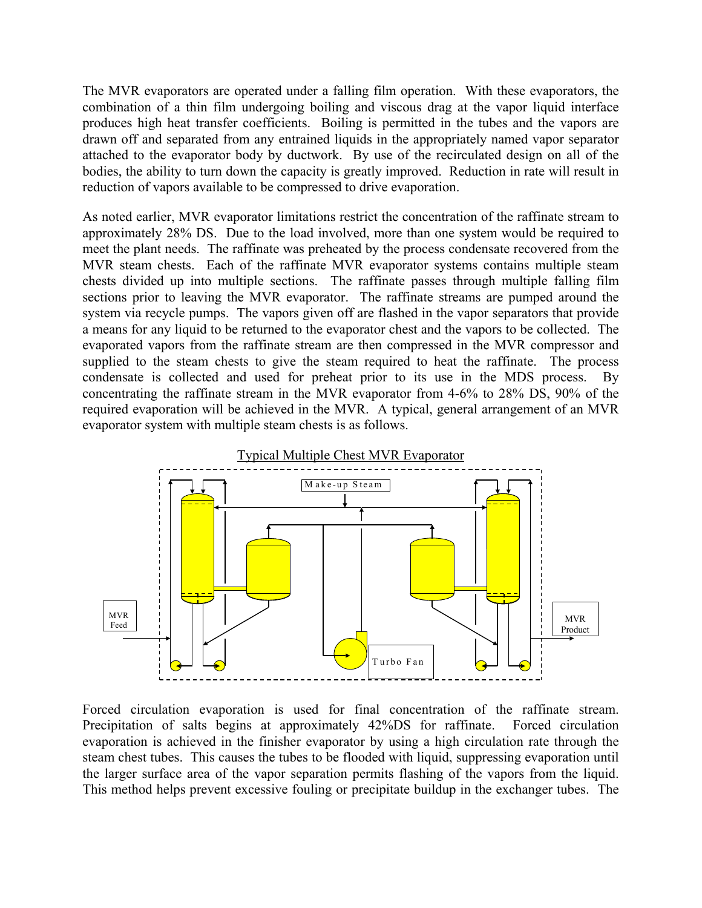The MVR evaporators are operated under a falling film operation. With these evaporators, the combination of a thin film undergoing boiling and viscous drag at the vapor liquid interface produces high heat transfer coefficients. Boiling is permitted in the tubes and the vapors are drawn off and separated from any entrained liquids in the appropriately named vapor separator attached to the evaporator body by ductwork. By use of the recirculated design on all of the bodies, the ability to turn down the capacity is greatly improved. Reduction in rate will result in reduction of vapors available to be compressed to drive evaporation.

As noted earlier, MVR evaporator limitations restrict the concentration of the raffinate stream to approximately 28% DS. Due to the load involved, more than one system would be required to meet the plant needs. The raffinate was preheated by the process condensate recovered from the MVR steam chests. Each of the raffinate MVR evaporator systems contains multiple steam chests divided up into multiple sections. The raffinate passes through multiple falling film sections prior to leaving the MVR evaporator. The raffinate streams are pumped around the system via recycle pumps. The vapors given off are flashed in the vapor separators that provide a means for any liquid to be returned to the evaporator chest and the vapors to be collected. The evaporated vapors from the raffinate stream are then compressed in the MVR compressor and supplied to the steam chests to give the steam required to heat the raffinate. The process condensate is collected and used for preheat prior to its use in the MDS process. By concentrating the raffinate stream in the MVR evaporator from 4-6% to 28% DS, 90% of the required evaporation will be achieved in the MVR. A typical, general arrangement of an MVR evaporator system with multiple steam chests is as follows.



Forced circulation evaporation is used for final concentration of the raffinate stream. Precipitation of salts begins at approximately 42%DS for raffinate. Forced circulation evaporation is achieved in the finisher evaporator by using a high circulation rate through the steam chest tubes. This causes the tubes to be flooded with liquid, suppressing evaporation until the larger surface area of the vapor separation permits flashing of the vapors from the liquid. This method helps prevent excessive fouling or precipitate buildup in the exchanger tubes. The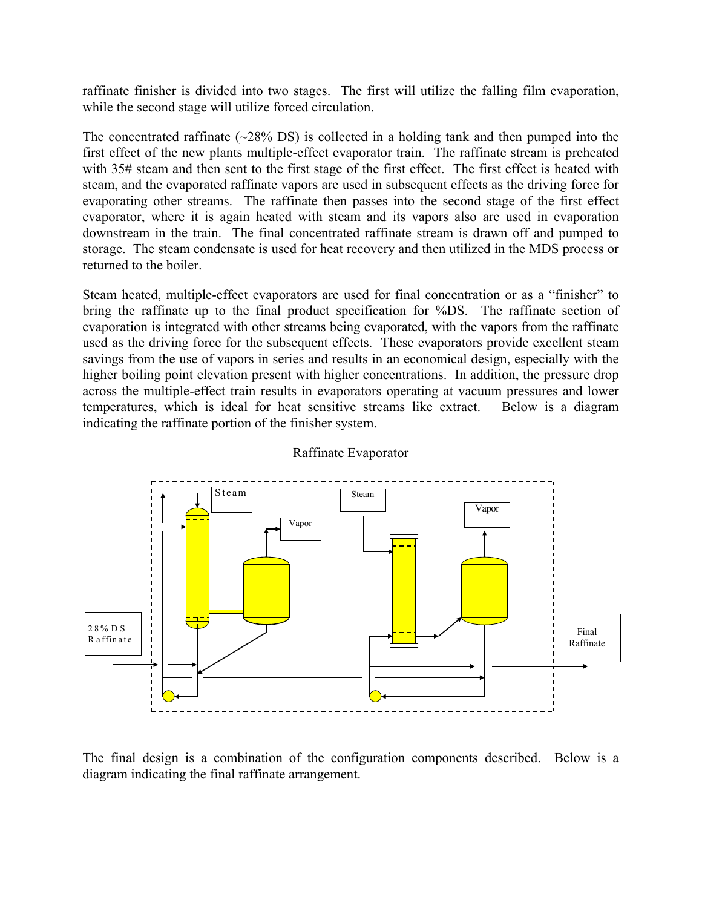raffinate finisher is divided into two stages. The first will utilize the falling film evaporation, while the second stage will utilize forced circulation.

The concentrated raffinate  $(\sim 28\%$  DS) is collected in a holding tank and then pumped into the first effect of the new plants multiple-effect evaporator train. The raffinate stream is preheated with 35# steam and then sent to the first stage of the first effect. The first effect is heated with steam, and the evaporated raffinate vapors are used in subsequent effects as the driving force for evaporating other streams. The raffinate then passes into the second stage of the first effect evaporator, where it is again heated with steam and its vapors also are used in evaporation downstream in the train. The final concentrated raffinate stream is drawn off and pumped to storage. The steam condensate is used for heat recovery and then utilized in the MDS process or returned to the boiler.

Steam heated, multiple-effect evaporators are used for final concentration or as a "finisher" to bring the raffinate up to the final product specification for %DS. The raffinate section of evaporation is integrated with other streams being evaporated, with the vapors from the raffinate used as the driving force for the subsequent effects. These evaporators provide excellent steam savings from the use of vapors in series and results in an economical design, especially with the higher boiling point elevation present with higher concentrations. In addition, the pressure drop across the multiple-effect train results in evaporators operating at vacuum pressures and lower temperatures, which is ideal for heat sensitive streams like extract. Below is a diagram indicating the raffinate portion of the finisher system.



Raffinate Evaporator

The final design is a combination of the configuration components described. Below is a diagram indicating the final raffinate arrangement.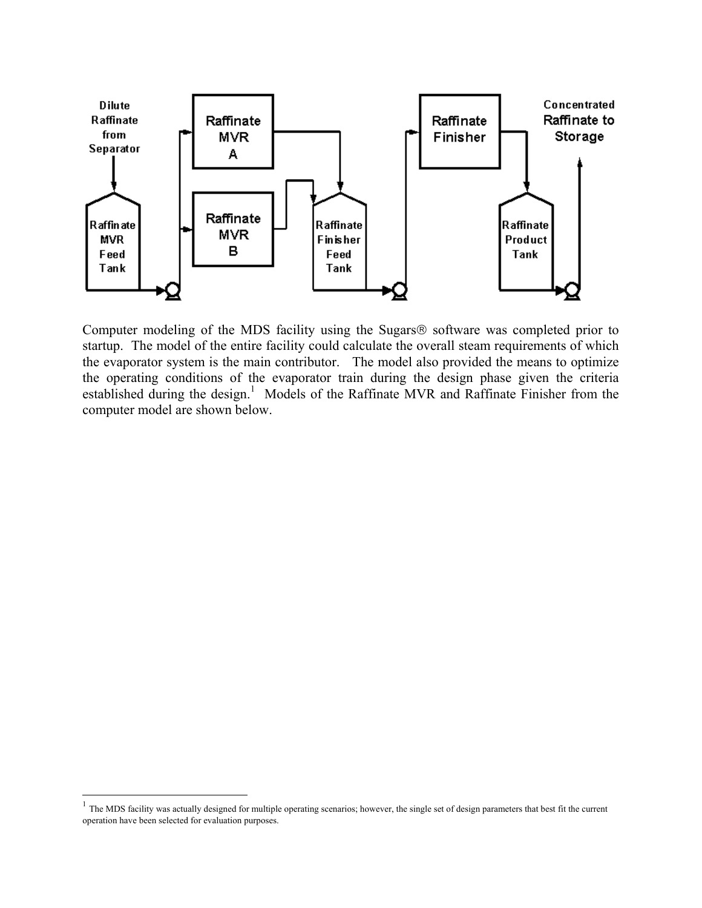

Computer modeling of the MDS facility using the Sugars<sup>®</sup> software was completed prior to startup. The model of the entire facility could calculate the overall steam requirements of which the evaporator system is the main contributor. The model also provided the means to optimize the operating conditions of the evaporator train during the design phase given the criteria established during the design.<sup>[1](#page-4-0)</sup> Models of the Raffinate MVR and Raffinate Finisher from the computer model are shown below.

 $\overline{a}$ 

<span id="page-4-0"></span> $<sup>1</sup>$  The MDS facility was actually designed for multiple operating scenarios; however, the single set of design parameters that best fit the current</sup> operation have been selected for evaluation purposes.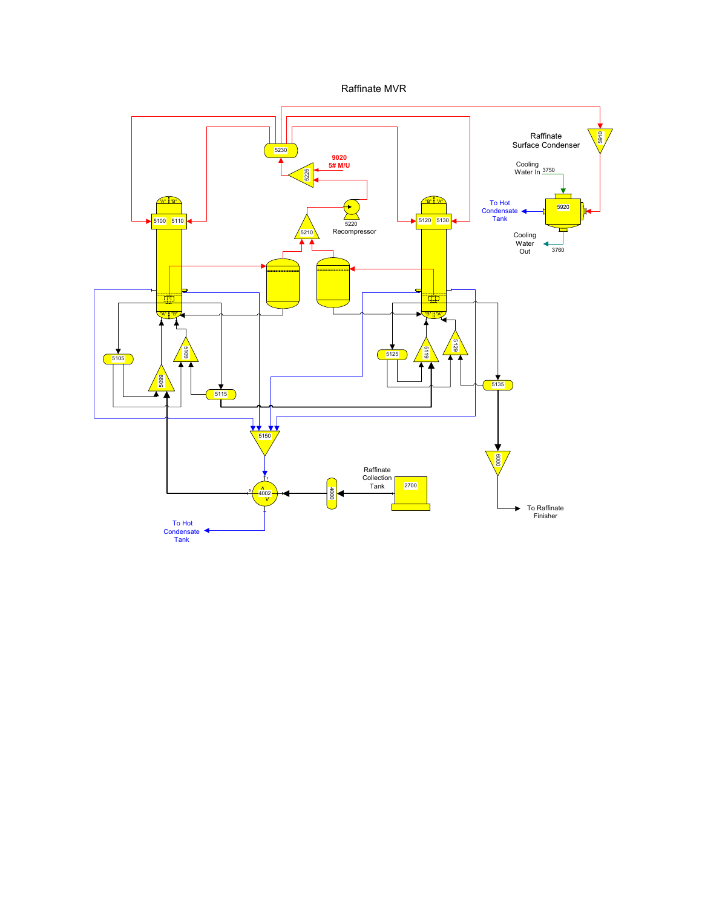Raffinate MVR

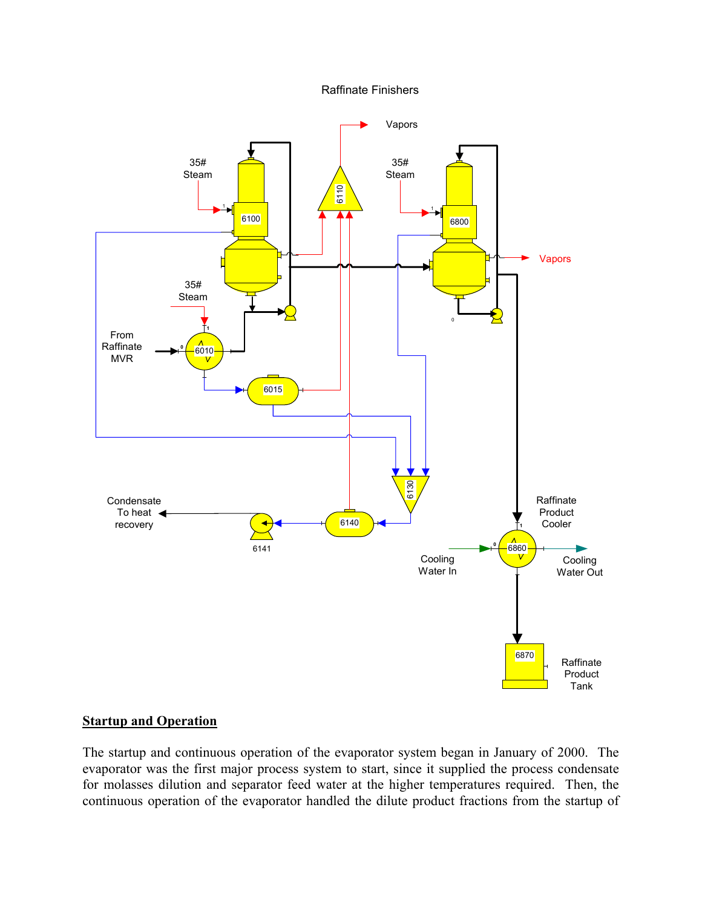#### Raffinate Finishers



#### **Startup and Operation**

The startup and continuous operation of the evaporator system began in January of 2000. The evaporator was the first major process system to start, since it supplied the process condensate for molasses dilution and separator feed water at the higher temperatures required. Then, the continuous operation of the evaporator handled the dilute product fractions from the startup of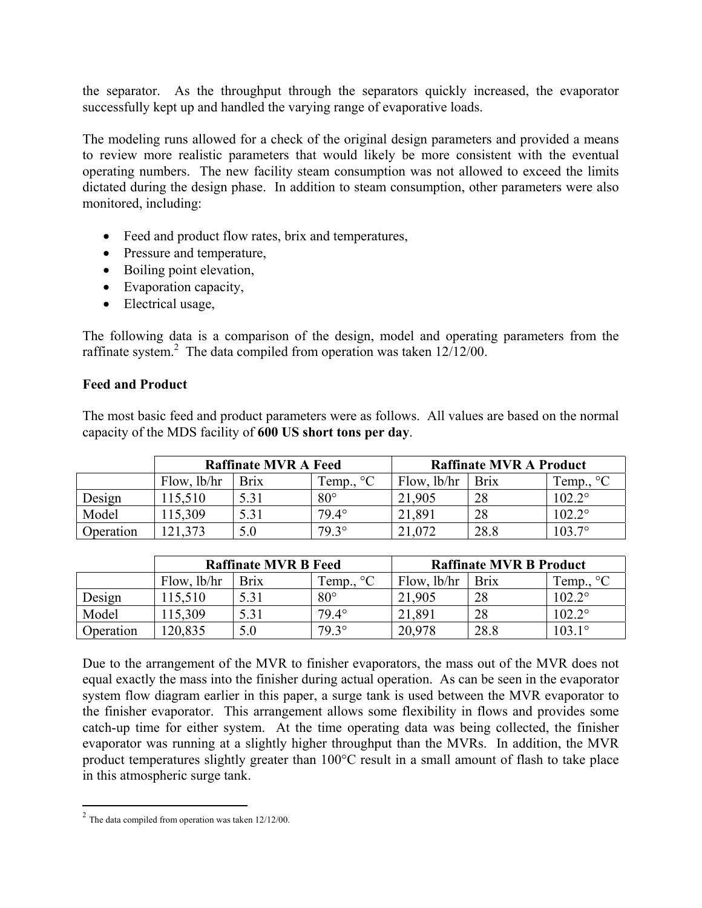the separator. As the throughput through the separators quickly increased, the evaporator successfully kept up and handled the varying range of evaporative loads.

The modeling runs allowed for a check of the original design parameters and provided a means to review more realistic parameters that would likely be more consistent with the eventual operating numbers. The new facility steam consumption was not allowed to exceed the limits dictated during the design phase. In addition to steam consumption, other parameters were also monitored, including:

- Feed and product flow rates, brix and temperatures,
- Pressure and temperature,
- Boiling point elevation,
- Evaporation capacity,
- Electrical usage,

The following data is a comparison of the design, model and operating parameters from the raffinate system.<sup>[2](#page-7-0)</sup> The data compiled from operation was taken  $12/12/00$ .

#### **Feed and Product**

The most basic feed and product parameters were as follows. All values are based on the normal capacity of the MDS facility of **600 US short tons per day**.

|           | <b>Raffinate MVR A Feed</b> |             |                     | <b>Raffinate MVR A Product</b> |             |                    |
|-----------|-----------------------------|-------------|---------------------|--------------------------------|-------------|--------------------|
|           | Flow, lb/hr                 | <b>Brix</b> | Temp., $^{\circ}$ C | Flow, lb/hr                    | <b>Brix</b> | Temp., $^{\circ}C$ |
| Design    | 115,510                     | 5.31        | $80^{\circ}$        | 21,905                         | 28          | $102.2^{\circ}$    |
| Model     | 115,309                     | 5.31        | $79.4^\circ$        | 21,891                         | 28          | $102.2^{\circ}$    |
| Operation | .373                        |             | $79.3^{\circ}$      | .072                           | 28.8        | $103.7^{\circ}$    |

|           | <b>Raffinate MVR B Feed</b> |             |                    | <b>Raffinate MVR B Product</b> |             |                    |
|-----------|-----------------------------|-------------|--------------------|--------------------------------|-------------|--------------------|
|           | Flow, lb/hr                 | <b>Brix</b> | Temp., $^{\circ}C$ | Flow, lb/hr                    | <b>Brix</b> | Temp., $^{\circ}C$ |
| Design    | 115,510                     | 5.31        | $80^{\circ}$       | 21,905                         | 28          | $102.2^{\circ}$    |
| Model     | 115.309                     | 5.31        | $79.4^{\circ}$     | 21.891                         | 28          | $102.2^{\circ}$    |
| Operation | 120,835                     | 5.0         | $79.3^\circ$       | 20,978                         | 28.8        | $103.1^{\circ}$    |

Due to the arrangement of the MVR to finisher evaporators, the mass out of the MVR does not equal exactly the mass into the finisher during actual operation. As can be seen in the evaporator system flow diagram earlier in this paper, a surge tank is used between the MVR evaporator to the finisher evaporator. This arrangement allows some flexibility in flows and provides some catch-up time for either system. At the time operating data was being collected, the finisher evaporator was running at a slightly higher throughput than the MVRs. In addition, the MVR product temperatures slightly greater than 100°C result in a small amount of flash to take place in this atmospheric surge tank.

 $\overline{a}$ 

<span id="page-7-0"></span> $2 \text{ The data compiled from operation was taken } 12/12/00.$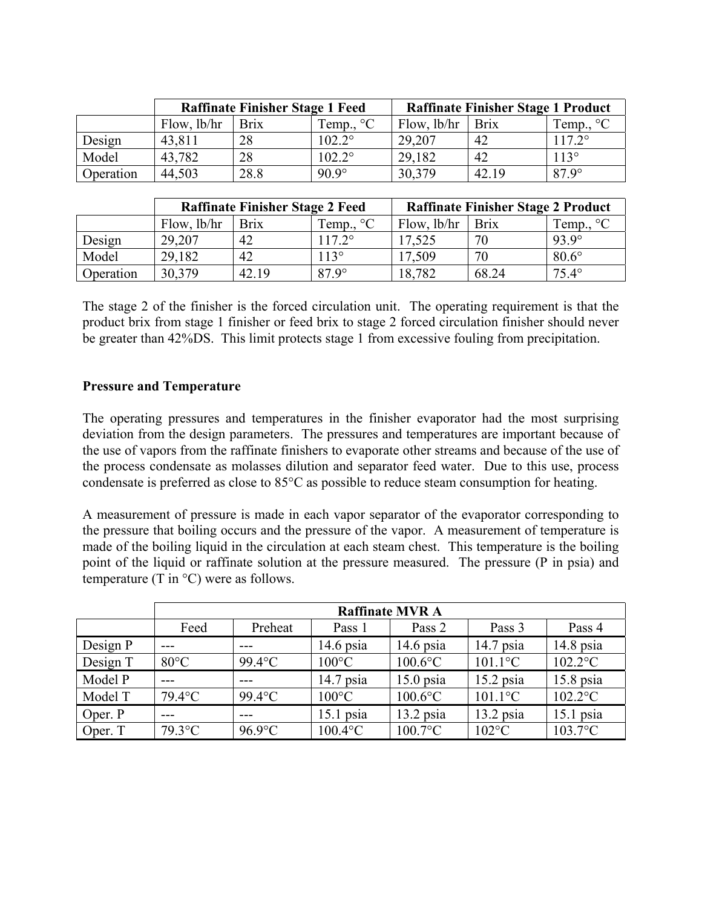|           | <b>Raffinate Finisher Stage 1 Feed</b> |             |                     | <b>Raffinate Finisher Stage 1 Product</b> |             |                    |
|-----------|----------------------------------------|-------------|---------------------|-------------------------------------------|-------------|--------------------|
|           | Flow, $lb/hr$                          | <b>Brix</b> | Temp., $^{\circ}$ C | Flow, lb/hr                               | <b>Brix</b> | Temp., $^{\circ}C$ |
| Design    | 43,811                                 | 28          | $102.2^\circ$       | 29,207                                    | 42          | $117.2^{\circ}$    |
| Model     | 43,782                                 | 28          | $102.2^{\circ}$     | 29,182                                    | 42          | $113^\circ$        |
| Operation | 44,503                                 | 28.8        | $90.9^\circ$        | 30,379                                    | 42.19       | $87.9^\circ$       |

|           | <b>Raffinate Finisher Stage 2 Feed</b> |             |                    | <b>Raffinate Finisher Stage 2 Product</b> |             |                    |
|-----------|----------------------------------------|-------------|--------------------|-------------------------------------------|-------------|--------------------|
|           | Flow, lb/hr                            | <b>Brix</b> | Temp., $^{\circ}C$ | Flow, lb/hr                               | <b>Brix</b> | Temp., $^{\circ}C$ |
| Design    | 29,207                                 | 42          | $117.2^{\circ}$    | 17,525                                    | 70          | $93.9^\circ$       |
| Model     | 29,182                                 | 42          | $113^\circ$        | 17.509                                    | 70          | $80.6^\circ$       |
| Operation | 30,379                                 | 42.19       | $87.9^\circ$       | 18,782                                    | 68.24       | $75.4^\circ$       |

The stage 2 of the finisher is the forced circulation unit. The operating requirement is that the product brix from stage 1 finisher or feed brix to stage 2 forced circulation finisher should never be greater than 42%DS. This limit protects stage 1 from excessive fouling from precipitation.

#### **Pressure and Temperature**

The operating pressures and temperatures in the finisher evaporator had the most surprising deviation from the design parameters. The pressures and temperatures are important because of the use of vapors from the raffinate finishers to evaporate other streams and because of the use of the process condensate as molasses dilution and separator feed water. Due to this use, process condensate is preferred as close to 85°C as possible to reduce steam consumption for heating.

A measurement of pressure is made in each vapor separator of the evaporator corresponding to the pressure that boiling occurs and the pressure of the vapor. A measurement of temperature is made of the boiling liquid in the circulation at each steam chest. This temperature is the boiling point of the liquid or raffinate solution at the pressure measured. The pressure (P in psia) and temperature (T in  $\mathrm{^{\circ}C}$ ) were as follows.

|          | <b>Raffinate MVR A</b> |           |                 |             |             |             |
|----------|------------------------|-----------|-----------------|-------------|-------------|-------------|
|          | Feed                   | Preheat   | Pass 1          | Pass 2      | Pass 3      | Pass 4      |
| Design P |                        | ---       | $14.6$ psia     | $14.6$ psia | $14.7$ psia | $14.8$ psia |
| Design T | $80^{\circ}$ C         | $99.4$ °C | $100^{\circ}$ C | $100.6$ °C  | $101.1$ °C  | $102.2$ °C  |
| Model P  |                        |           | $14.7$ psia     | $15.0$ psia | $15.2$ psia | $15.8$ psia |
| Model T  | $79.4$ °C              | $99.4$ °C | $100^{\circ}$ C | $100.6$ °C  | $101.1$ °C  | $102.2$ °C  |
| Oper. P  | $- - -$                | ---       | $15.1$ psia     | $13.2$ psia | $13.2$ psia | $15.1$ psia |
| Oper. T  | $79.3$ °C              | $96.9$ °C | $100.4$ °C      | $100.7$ °C  | $102$ °C    | $103.7$ °C  |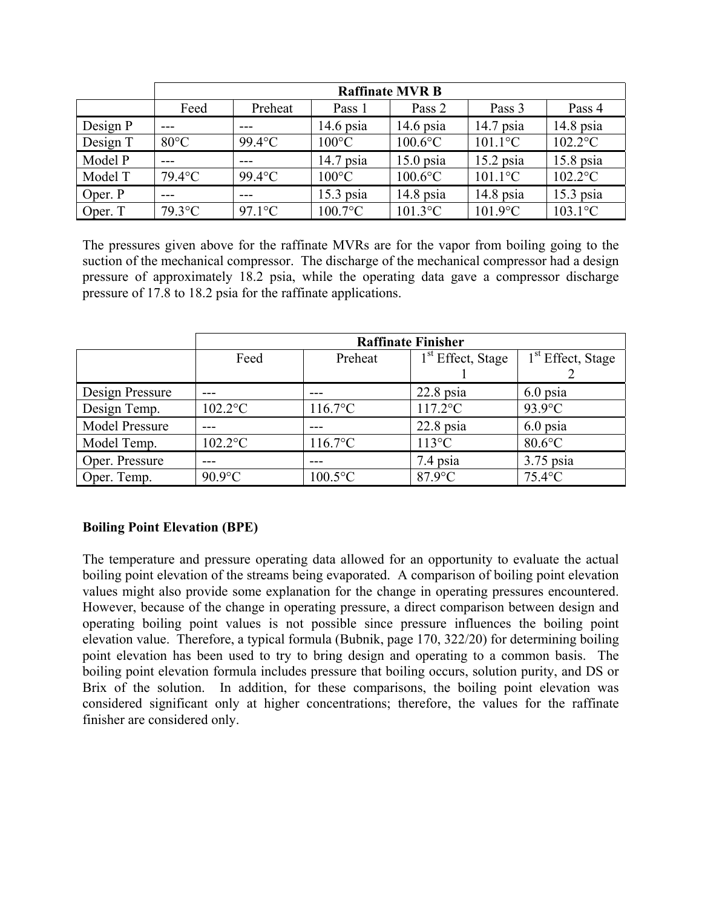|          | <b>Raffinate MVR B</b> |                  |                 |             |             |             |
|----------|------------------------|------------------|-----------------|-------------|-------------|-------------|
|          | Feed                   | Preheat          | Pass 1          | Pass 2      | Pass 3      | Pass 4      |
| Design P |                        |                  | $14.6$ psia     | $14.6$ psia | $14.7$ psia | $14.8$ psia |
| Design T | $80^{\circ}$ C         | $99.4$ °C        | $100^{\circ}$ C | $100.6$ °C  | $101.1$ °C  | $102.2$ °C  |
| Model P  |                        | $---$            | $14.7$ psia     | $15.0$ psia | $15.2$ psia | $15.8$ psia |
| Model T  | $79.4$ °C              | $99.4$ °C        | $100^{\circ}$ C | $100.6$ °C  | $101.1$ °C  | $102.2$ °C  |
| Oper. P  | ---                    | ---              | $15.3$ psia     | $14.8$ psia | $14.8$ psia | $15.3$ psia |
| Oper. T  | $79.3$ °C              | $97.1^{\circ}$ C | $100.7$ °C      | $101.3$ °C  | $101.9$ °C  | $103.1$ °C  |

The pressures given above for the raffinate MVRs are for the vapor from boiling going to the suction of the mechanical compressor. The discharge of the mechanical compressor had a design pressure of approximately 18.2 psia, while the operating data gave a compressor discharge pressure of 17.8 to 18.2 psia for the raffinate applications.

|                       | <b>Raffinate Finisher</b> |                  |                               |                     |  |  |
|-----------------------|---------------------------|------------------|-------------------------------|---------------------|--|--|
|                       | Feed                      | Preheat          | 1 <sup>st</sup> Effect, Stage | $1st$ Effect, Stage |  |  |
|                       |                           |                  |                               |                     |  |  |
| Design Pressure       |                           |                  | $22.8$ psia                   | $6.0$ psia          |  |  |
| Design Temp.          | $102.2$ °C                | $116.7^{\circ}C$ | $117.2$ °C                    | $93.9$ °C           |  |  |
| <b>Model Pressure</b> |                           |                  | $22.8$ psia                   | 6.0 psia            |  |  |
| Model Temp.           | $102.2$ °C                | $116.7$ °C       | $113^{\circ}C$                | $80.6$ °C           |  |  |
| Oper. Pressure        |                           |                  | 7.4 psia                      | $3.75$ psia         |  |  |
| Oper. Temp.           | $90.9$ °C                 | $100.5$ °C       | $87.9$ °C                     | $75.4$ °C           |  |  |

## **Boiling Point Elevation (BPE)**

The temperature and pressure operating data allowed for an opportunity to evaluate the actual boiling point elevation of the streams being evaporated. A comparison of boiling point elevation values might also provide some explanation for the change in operating pressures encountered. However, because of the change in operating pressure, a direct comparison between design and operating boiling point values is not possible since pressure influences the boiling point elevation value. Therefore, a typical formula (Bubnik, page 170, 322/20) for determining boiling point elevation has been used to try to bring design and operating to a common basis. The boiling point elevation formula includes pressure that boiling occurs, solution purity, and DS or Brix of the solution. In addition, for these comparisons, the boiling point elevation was considered significant only at higher concentrations; therefore, the values for the raffinate finisher are considered only.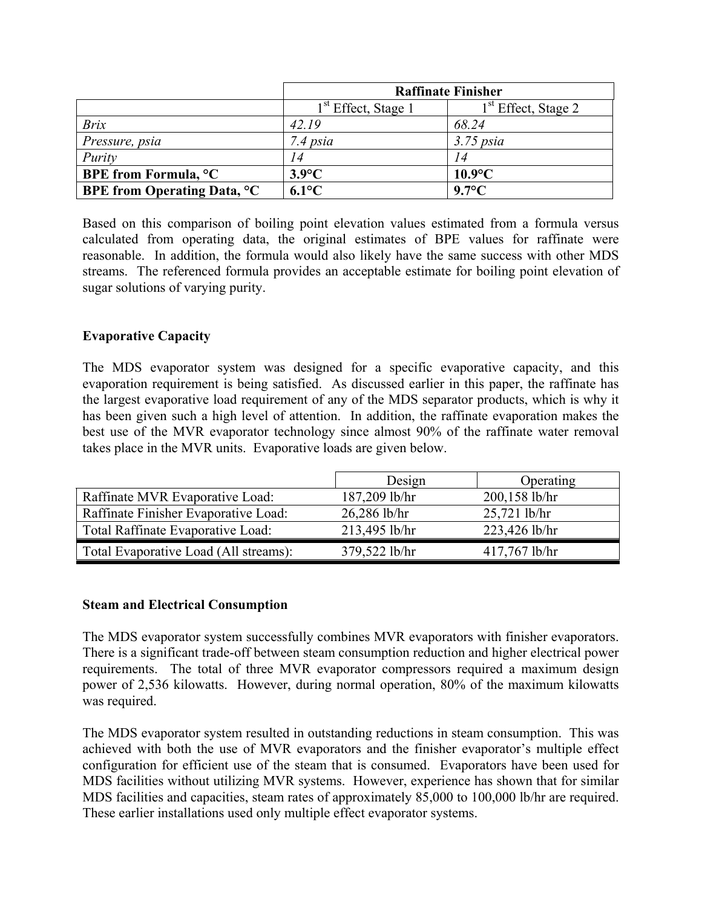|                                         | <b>Raffinate Finisher</b>       |                       |  |
|-----------------------------------------|---------------------------------|-----------------------|--|
|                                         | 1 <sup>st</sup> Effect, Stage 1 | $1st$ Effect, Stage 2 |  |
| <b>Brix</b>                             | 42.19                           | 68.24                 |  |
| Pressure, psia                          | 7.4 psia                        | $3.75$ psia           |  |
| Purity                                  | 14                              | 14                    |  |
| <b>BPE</b> from Formula, <sup>o</sup> C | $3.9^{\circ}C$                  | $10.9$ °C             |  |
| <b>BPE from Operating Data, °C</b>      | $6.1^{\circ}C$                  | $9.7^{\circ}$ C       |  |

Based on this comparison of boiling point elevation values estimated from a formula versus calculated from operating data, the original estimates of BPE values for raffinate were reasonable. In addition, the formula would also likely have the same success with other MDS streams. The referenced formula provides an acceptable estimate for boiling point elevation of sugar solutions of varying purity.

## **Evaporative Capacity**

The MDS evaporator system was designed for a specific evaporative capacity, and this evaporation requirement is being satisfied. As discussed earlier in this paper, the raffinate has the largest evaporative load requirement of any of the MDS separator products, which is why it has been given such a high level of attention. In addition, the raffinate evaporation makes the best use of the MVR evaporator technology since almost 90% of the raffinate water removal takes place in the MVR units. Evaporative loads are given below.

|                                       | Design         | Operating       |
|---------------------------------------|----------------|-----------------|
| Raffinate MVR Evaporative Load:       | 187,209 lb/hr  | 200,158 lb/hr   |
| Raffinate Finisher Evaporative Load:  | $26,286$ lb/hr | $25,721$ lb/hr  |
| Total Raffinate Evaporative Load:     | 213,495 lb/hr  | 223,426 lb/hr   |
| Total Evaporative Load (All streams): | 379,522 lb/hr  | $417,767$ lb/hr |

## **Steam and Electrical Consumption**

The MDS evaporator system successfully combines MVR evaporators with finisher evaporators. There is a significant trade-off between steam consumption reduction and higher electrical power requirements. The total of three MVR evaporator compressors required a maximum design power of 2,536 kilowatts. However, during normal operation, 80% of the maximum kilowatts was required.

The MDS evaporator system resulted in outstanding reductions in steam consumption. This was achieved with both the use of MVR evaporators and the finisher evaporator's multiple effect configuration for efficient use of the steam that is consumed. Evaporators have been used for MDS facilities without utilizing MVR systems. However, experience has shown that for similar MDS facilities and capacities, steam rates of approximately 85,000 to 100,000 lb/hr are required. These earlier installations used only multiple effect evaporator systems.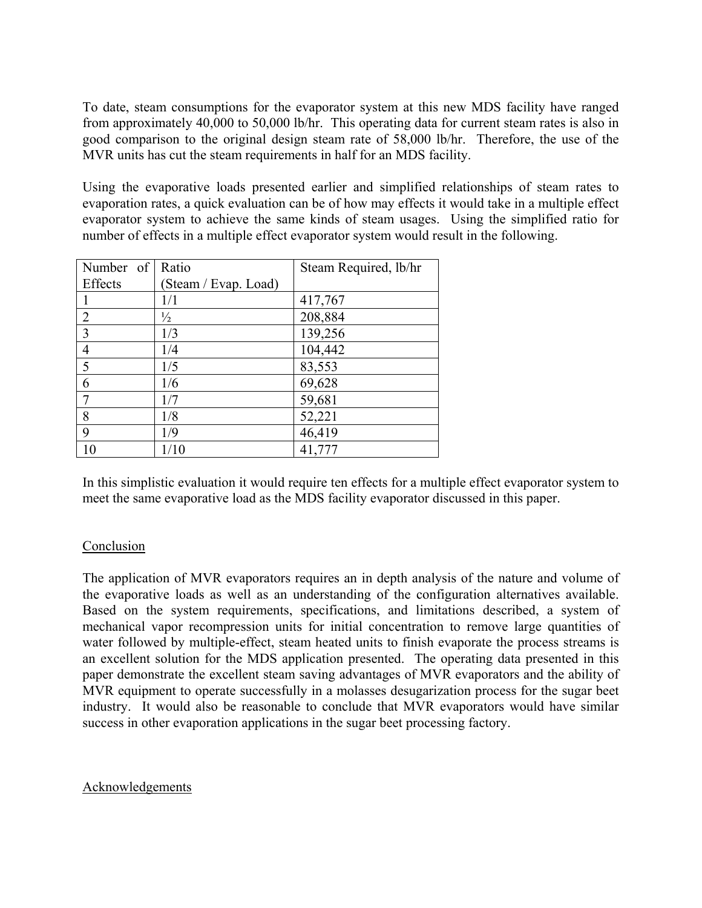To date, steam consumptions for the evaporator system at this new MDS facility have ranged from approximately 40,000 to 50,000 lb/hr. This operating data for current steam rates is also in good comparison to the original design steam rate of 58,000 lb/hr. Therefore, the use of the MVR units has cut the steam requirements in half for an MDS facility.

Using the evaporative loads presented earlier and simplified relationships of steam rates to evaporation rates, a quick evaluation can be of how may effects it would take in a multiple effect evaporator system to achieve the same kinds of steam usages. Using the simplified ratio for number of effects in a multiple effect evaporator system would result in the following.

| Number of      | Ratio                | Steam Required, lb/hr |
|----------------|----------------------|-----------------------|
| Effects        | (Steam / Evap. Load) |                       |
|                | 1/1                  | 417,767               |
| $\overline{2}$ | $\frac{1}{2}$        | 208,884               |
| 3              | 1/3                  | 139,256               |
| 4              | 1/4                  | 104,442               |
| 5              | 1/5                  | 83,553                |
| 6              | 1/6                  | 69,628                |
|                | 1/7                  | 59,681                |
| 8              | 1/8                  | 52,221                |
| 9              | 1/9                  | 46,419                |
| 10             | 1/10                 | 41,777                |

In this simplistic evaluation it would require ten effects for a multiple effect evaporator system to meet the same evaporative load as the MDS facility evaporator discussed in this paper.

## Conclusion

The application of MVR evaporators requires an in depth analysis of the nature and volume of the evaporative loads as well as an understanding of the configuration alternatives available. Based on the system requirements, specifications, and limitations described, a system of mechanical vapor recompression units for initial concentration to remove large quantities of water followed by multiple-effect, steam heated units to finish evaporate the process streams is an excellent solution for the MDS application presented. The operating data presented in this paper demonstrate the excellent steam saving advantages of MVR evaporators and the ability of MVR equipment to operate successfully in a molasses desugarization process for the sugar beet industry. It would also be reasonable to conclude that MVR evaporators would have similar success in other evaporation applications in the sugar beet processing factory.

#### Acknowledgements